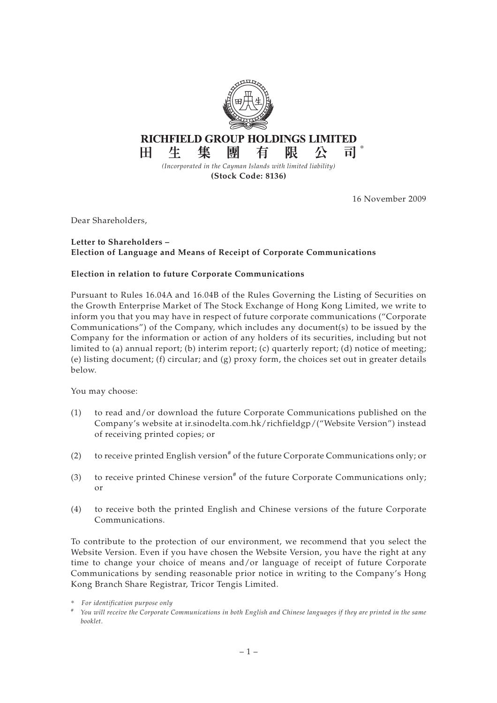

16 November 2009

Dear Shareholders,

## **Letter to Shareholders – Election of Language and Means of Receipt of Corporate Communications**

## **Election in relation to future Corporate Communications**

Pursuant to Rules 16.04A and 16.04B of the Rules Governing the Listing of Securities on the Growth Enterprise Market of The Stock Exchange of Hong Kong Limited, we write to inform you that you may have in respect of future corporate communications ("Corporate Communications") of the Company, which includes any document(s) to be issued by the Company for the information or action of any holders of its securities, including but not limited to (a) annual report; (b) interim report; (c) quarterly report; (d) notice of meeting; (e) listing document; (f) circular; and  $(g)$  proxy form, the choices set out in greater details below.

You may choose:

- (1) to read and/or download the future Corporate Communications published on the Company's website at ir.sinodelta.com.hk/richfieldgp/("Website Version") instead of receiving printed copies; or
- (2) to receive printed English version<sup>#</sup> of the future Corporate Communications only; or
- (3) to receive printed Chinese version<sup>#</sup> of the future Corporate Communications only; or
- (4) to receive both the printed English and Chinese versions of the future Corporate Communications.

To contribute to the protection of our environment, we recommend that you select the Website Version. Even if you have chosen the Website Version, you have the right at any time to change your choice of means and/or language of receipt of future Corporate Communications by sending reasonable prior notice in writing to the Company's Hong Kong Branch Share Registrar, Tricor Tengis Limited.

<sup>\*</sup> *For identification purpose only*

*<sup>#</sup> You will receive the Corporate Communications in both English and Chinese languages if they are printed in the same booklet.*